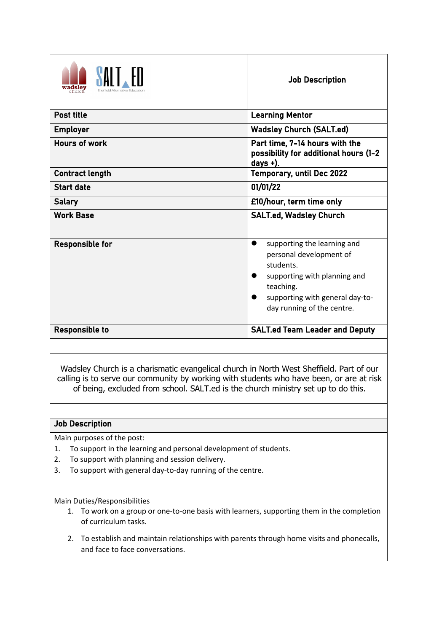| wadsley                | <b>Job Description</b>                                                                                                                                                            |
|------------------------|-----------------------------------------------------------------------------------------------------------------------------------------------------------------------------------|
| <b>Post title</b>      | <b>Learning Mentor</b>                                                                                                                                                            |
| <b>Employer</b>        | <b>Wadsley Church (SALT.ed)</b>                                                                                                                                                   |
| <b>Hours of work</b>   | Part time, 7-14 hours with the<br>possibility for additional hours (1-2<br>days $+$ ).                                                                                            |
| <b>Contract length</b> | <b>Temporary, until Dec 2022</b>                                                                                                                                                  |
| <b>Start date</b>      | 01/01/22                                                                                                                                                                          |
| <b>Salary</b>          | £10/hour, term time only                                                                                                                                                          |
| <b>Work Base</b>       | <b>SALT.ed, Wadsley Church</b>                                                                                                                                                    |
| <b>Responsible for</b> | supporting the learning and<br>personal development of<br>students.<br>supporting with planning and<br>teaching.<br>supporting with general day-to-<br>day running of the centre. |
| <b>Responsible to</b>  | <b>SALT.ed Team Leader and Deputy</b>                                                                                                                                             |

Wadsley Church is a charismatic evangelical church in North West Sheffield. Part of our calling is to serve our community by working with students who have been, or are at risk of being, excluded from school. SALT.ed is the church ministry set up to do this.

## Job Description

Main purposes of the post:

- 1. To support in the learning and personal development of students.
- 2. To support with planning and session delivery.
- 3. To support with general day-to-day running of the centre.

Main Duties/Responsibilities

- 1. To work on a group or one-to-one basis with learners, supporting them in the completion of curriculum tasks.
- 2. To establish and maintain relationships with parents through home visits and phonecalls, and face to face conversations.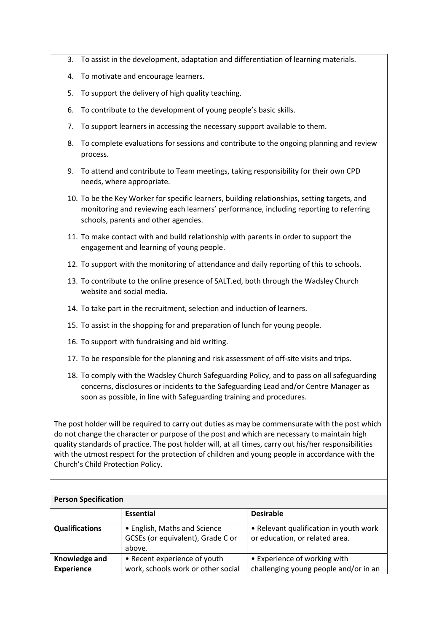- 3. To assist in the development, adaptation and differentiation of learning materials.
- 4. To motivate and encourage learners.
- 5. To support the delivery of high quality teaching.
- 6. To contribute to the development of young people's basic skills.
- 7. To support learners in accessing the necessary support available to them.
- 8. To complete evaluations for sessions and contribute to the ongoing planning and review process.
- 9. To attend and contribute to Team meetings, taking responsibility for their own CPD needs, where appropriate.
- 10. To be the Key Worker for specific learners, building relationships, setting targets, and monitoring and reviewing each learners' performance, including reporting to referring schools, parents and other agencies.
- 11. To make contact with and build relationship with parents in order to support the engagement and learning of young people.
- 12. To support with the monitoring of attendance and daily reporting of this to schools.
- 13. To contribute to the online presence of SALT.ed,both through the Wadsley Church website and social media.
- 14. To take part in the recruitment, selection and induction of learners.
- 15. To assist in the shopping for and preparation of lunch for young people.
- 16. To support with fundraising and bid writing.
- 17. To be responsible for the planning and risk assessment of off-site visits and trips.
- 18. To comply with the Wadsley Church Safeguarding Policy, and to pass on all safeguarding concerns, disclosures or incidents to the Safeguarding Lead and/or Centre Manager as soon as possible, in line with Safeguarding training and procedures.

The post holder will be required to carry out duties as may be commensurate with the post which do not change the character or purpose of the post and which are necessary to maintain high quality standards of practice. The post holder will, at all times, carry out his/her responsibilities with the utmost respect for the protection of children and young people in accordance with the Church's Child Protection Policy.

| <b>Person Specification</b>        |                                                                             |                                                                          |
|------------------------------------|-----------------------------------------------------------------------------|--------------------------------------------------------------------------|
|                                    | <b>Essential</b>                                                            | <b>Desirable</b>                                                         |
| <b>Qualifications</b>              | • English, Maths and Science<br>GCSEs (or equivalent), Grade C or<br>above. | • Relevant qualification in youth work<br>or education, or related area. |
| Knowledge and<br><b>Experience</b> | • Recent experience of youth<br>work, schools work or other social          | • Experience of working with<br>challenging young people and/or in an    |